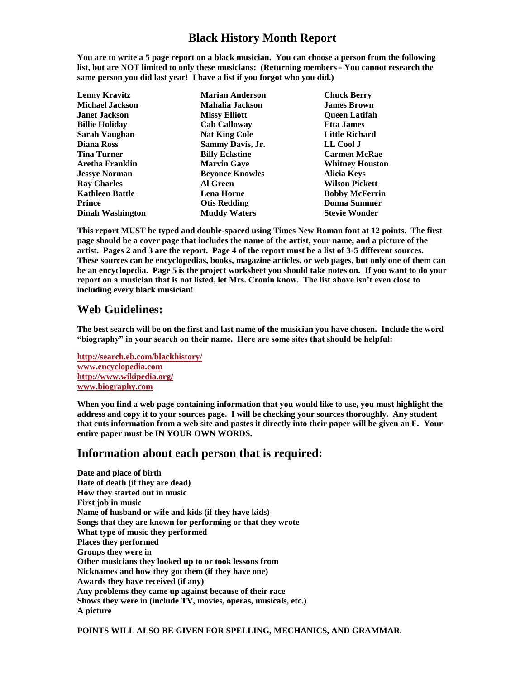## **Black History Month Report**

**You are to write a 5 page report on a black musician. You can choose a person from the following list, but are NOT limited to only these musicians: (Returning members - You cannot research the same person you did last year! I have a list if you forgot who you did.)** 

| <b>Lenny Kravitz</b>    | <b>Marian Anderson</b> | <b>Chuck Berry</b>     |
|-------------------------|------------------------|------------------------|
| <b>Michael Jackson</b>  | Mahalia Jackson        | <b>James Brown</b>     |
| <b>Janet Jackson</b>    | <b>Missy Elliott</b>   | <b>Oueen Latifah</b>   |
| <b>Billie Holiday</b>   | <b>Cab Calloway</b>    | <b>Etta James</b>      |
| Sarah Vaughan           | <b>Nat King Cole</b>   | <b>Little Richard</b>  |
| Diana Ross              | Sammy Davis, Jr.       | LL Cool J              |
| <b>Tina Turner</b>      | <b>Billy Eckstine</b>  | <b>Carmen McRae</b>    |
| Aretha Franklin         | <b>Marvin Gaye</b>     | <b>Whitney Houston</b> |
| <b>Jessye Norman</b>    | <b>Beyonce Knowles</b> | <b>Alicia Keys</b>     |
| <b>Ray Charles</b>      | Al Green               | <b>Wilson Pickett</b>  |
| <b>Kathleen Battle</b>  | <b>Lena Horne</b>      | <b>Bobby McFerrin</b>  |
| <b>Prince</b>           | <b>Otis Redding</b>    | <b>Donna Summer</b>    |
| <b>Dinah Washington</b> | <b>Muddy Waters</b>    | <b>Stevie Wonder</b>   |
|                         |                        |                        |

**This report MUST be typed and double-spaced using Times New Roman font at 12 points. The first page should be a cover page that includes the name of the artist, your name, and a picture of the artist. Pages 2 and 3 are the report. Page 4 of the report must be a list of 3-5 different sources. These sources can be encyclopedias, books, magazine articles, or web pages, but only one of them can be an encyclopedia. Page 5 is the project worksheet you should take notes on. If you want to do your report on a musician that is not listed, let Mrs. Cronin know. The list above isn't even close to including every black musician!**

## **Web Guidelines:**

**The best search will be on the first and last name of the musician you have chosen. Include the word "biography" in your search on their name. Here are some sites that should be helpful:**

**<http://search.eb.com/blackhistory/> [www.encyclopedia.com](http://www.encyclopedia.com/) <http://www.wikipedia.org/> [www.biography.com](http://www.biography.com/)**

**When you find a web page containing information that you would like to use, you must highlight the address and copy it to your sources page. I will be checking your sources thoroughly. Any student that cuts information from a web site and pastes it directly into their paper will be given an F. Your entire paper must be IN YOUR OWN WORDS.**

## **Information about each person that is required:**

**Date and place of birth Date of death (if they are dead) How they started out in music First job in music Name of husband or wife and kids (if they have kids) Songs that they are known for performing or that they wrote What type of music they performed Places they performed Groups they were in Other musicians they looked up to or took lessons from Nicknames and how they got them (if they have one) Awards they have received (if any) Any problems they came up against because of their race Shows they were in (include TV, movies, operas, musicals, etc.) A picture**

**POINTS WILL ALSO BE GIVEN FOR SPELLING, MECHANICS, AND GRAMMAR.**